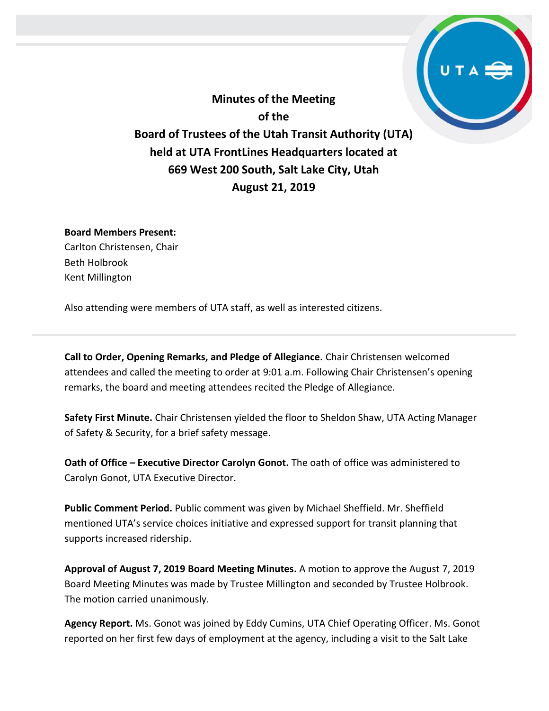**Minutes of the Meeting of the Board of Trustees of the Utah Transit Authority (UTA) held at UTA FrontLines Headquarters located at 669 West 200 South, Salt Lake City, Utah August 21, 2019**

## **Board Members Present:**

Carlton Christensen, Chair Beth Holbrook Kent Millington

Also attending were members of UTA staff, as well as interested citizens.

**Call to Order, Opening Remarks, and Pledge of Allegiance.** Chair Christensen welcomed attendees and called the meeting to order at 9:01 a.m. Following Chair Christensen's opening remarks, the board and meeting attendees recited the Pledge of Allegiance.

**Safety First Minute.** Chair Christensen yielded the floor to Sheldon Shaw, UTA Acting Manager of Safety & Security, for a brief safety message.

**Oath of Office – Executive Director Carolyn Gonot.** The oath of office was administered to Carolyn Gonot, UTA Executive Director.

**Public Comment Period.** Public comment was given by Michael Sheffield. Mr. Sheffield mentioned UTA's service choices initiative and expressed support for transit planning that supports increased ridership.

**Approval of August 7, 2019 Board Meeting Minutes.** A motion to approve the August 7, 2019 Board Meeting Minutes was made by Trustee Millington and seconded by Trustee Holbrook. The motion carried unanimously.

**Agency Report.** Ms. Gonot was joined by Eddy Cumins, UTA Chief Operating Officer. Ms. Gonot reported on her first few days of employment at the agency, including a visit to the Salt Lake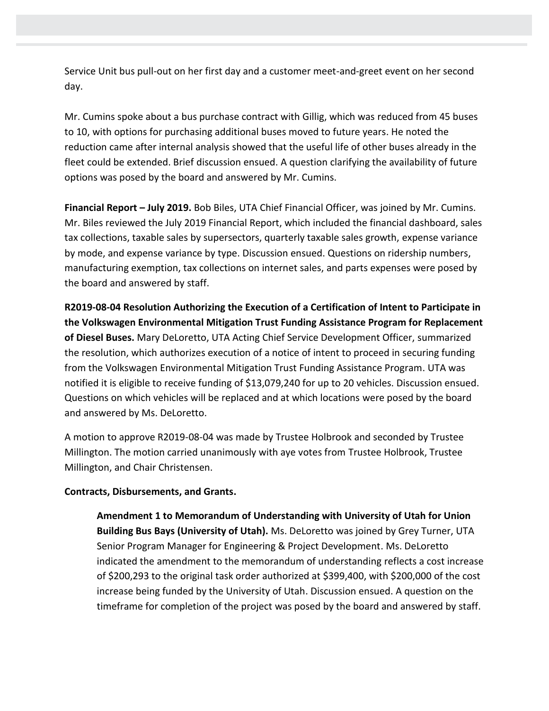Service Unit bus pull-out on her first day and a customer meet-and-greet event on her second day.

Mr. Cumins spoke about a bus purchase contract with Gillig, which was reduced from 45 buses to 10, with options for purchasing additional buses moved to future years. He noted the reduction came after internal analysis showed that the useful life of other buses already in the fleet could be extended. Brief discussion ensued. A question clarifying the availability of future options was posed by the board and answered by Mr. Cumins.

**Financial Report – July 2019.** Bob Biles, UTA Chief Financial Officer, was joined by Mr. Cumins. Mr. Biles reviewed the July 2019 Financial Report, which included the financial dashboard, sales tax collections, taxable sales by supersectors, quarterly taxable sales growth, expense variance by mode, and expense variance by type. Discussion ensued. Questions on ridership numbers, manufacturing exemption, tax collections on internet sales, and parts expenses were posed by the board and answered by staff.

**R2019-08-04 Resolution Authorizing the Execution of a Certification of Intent to Participate in the Volkswagen Environmental Mitigation Trust Funding Assistance Program for Replacement of Diesel Buses.** Mary DeLoretto, UTA Acting Chief Service Development Officer, summarized the resolution, which authorizes execution of a notice of intent to proceed in securing funding from the Volkswagen Environmental Mitigation Trust Funding Assistance Program. UTA was notified it is eligible to receive funding of \$13,079,240 for up to 20 vehicles. Discussion ensued. Questions on which vehicles will be replaced and at which locations were posed by the board and answered by Ms. DeLoretto.

A motion to approve R2019-08-04 was made by Trustee Holbrook and seconded by Trustee Millington. The motion carried unanimously with aye votes from Trustee Holbrook, Trustee Millington, and Chair Christensen.

# **Contracts, Disbursements, and Grants.**

**Amendment 1 to Memorandum of Understanding with University of Utah for Union Building Bus Bays (University of Utah).** Ms. DeLoretto was joined by Grey Turner, UTA Senior Program Manager for Engineering & Project Development. Ms. DeLoretto indicated the amendment to the memorandum of understanding reflects a cost increase of \$200,293 to the original task order authorized at \$399,400, with \$200,000 of the cost increase being funded by the University of Utah. Discussion ensued. A question on the timeframe for completion of the project was posed by the board and answered by staff.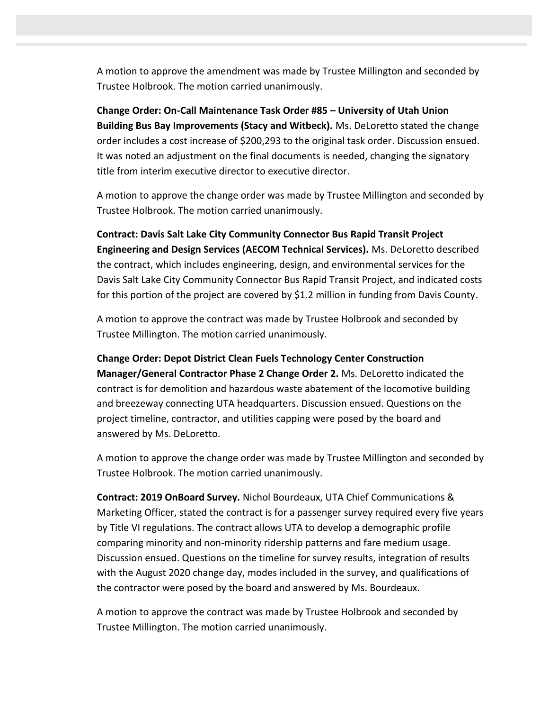A motion to approve the amendment was made by Trustee Millington and seconded by Trustee Holbrook. The motion carried unanimously.

**Change Order: On-Call Maintenance Task Order #85 – University of Utah Union Building Bus Bay Improvements (Stacy and Witbeck).** Ms. DeLoretto stated the change order includes a cost increase of \$200,293 to the original task order. Discussion ensued. It was noted an adjustment on the final documents is needed, changing the signatory title from interim executive director to executive director.

A motion to approve the change order was made by Trustee Millington and seconded by Trustee Holbrook. The motion carried unanimously.

**Contract: Davis Salt Lake City Community Connector Bus Rapid Transit Project Engineering and Design Services (AECOM Technical Services).** Ms. DeLoretto described the contract, which includes engineering, design, and environmental services for the Davis Salt Lake City Community Connector Bus Rapid Transit Project, and indicated costs for this portion of the project are covered by \$1.2 million in funding from Davis County.

A motion to approve the contract was made by Trustee Holbrook and seconded by Trustee Millington. The motion carried unanimously.

**Change Order: Depot District Clean Fuels Technology Center Construction Manager/General Contractor Phase 2 Change Order 2.** Ms. DeLoretto indicated the contract is for demolition and hazardous waste abatement of the locomotive building and breezeway connecting UTA headquarters. Discussion ensued. Questions on the project timeline, contractor, and utilities capping were posed by the board and answered by Ms. DeLoretto.

A motion to approve the change order was made by Trustee Millington and seconded by Trustee Holbrook. The motion carried unanimously.

**Contract: 2019 OnBoard Survey.** Nichol Bourdeaux, UTA Chief Communications & Marketing Officer, stated the contract is for a passenger survey required every five years by Title VI regulations. The contract allows UTA to develop a demographic profile comparing minority and non-minority ridership patterns and fare medium usage. Discussion ensued. Questions on the timeline for survey results, integration of results with the August 2020 change day, modes included in the survey, and qualifications of the contractor were posed by the board and answered by Ms. Bourdeaux.

A motion to approve the contract was made by Trustee Holbrook and seconded by Trustee Millington. The motion carried unanimously.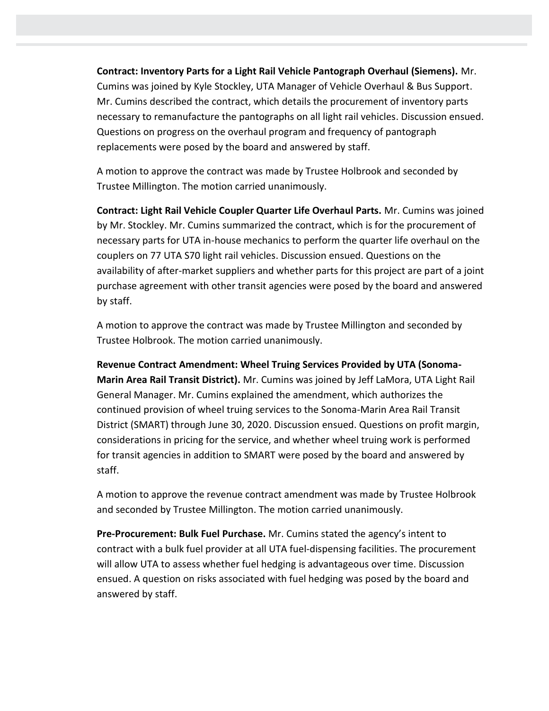**Contract: Inventory Parts for a Light Rail Vehicle Pantograph Overhaul (Siemens).** Mr. Cumins was joined by Kyle Stockley, UTA Manager of Vehicle Overhaul & Bus Support. Mr. Cumins described the contract, which details the procurement of inventory parts necessary to remanufacture the pantographs on all light rail vehicles. Discussion ensued. Questions on progress on the overhaul program and frequency of pantograph replacements were posed by the board and answered by staff.

A motion to approve the contract was made by Trustee Holbrook and seconded by Trustee Millington. The motion carried unanimously.

**Contract: Light Rail Vehicle Coupler Quarter Life Overhaul Parts.** Mr. Cumins was joined by Mr. Stockley. Mr. Cumins summarized the contract, which is for the procurement of necessary parts for UTA in-house mechanics to perform the quarter life overhaul on the couplers on 77 UTA S70 light rail vehicles. Discussion ensued. Questions on the availability of after-market suppliers and whether parts for this project are part of a joint purchase agreement with other transit agencies were posed by the board and answered by staff.

A motion to approve the contract was made by Trustee Millington and seconded by Trustee Holbrook. The motion carried unanimously.

**Revenue Contract Amendment: Wheel Truing Services Provided by UTA (Sonoma-Marin Area Rail Transit District).** Mr. Cumins was joined by Jeff LaMora, UTA Light Rail General Manager. Mr. Cumins explained the amendment, which authorizes the continued provision of wheel truing services to the Sonoma-Marin Area Rail Transit District (SMART) through June 30, 2020. Discussion ensued. Questions on profit margin, considerations in pricing for the service, and whether wheel truing work is performed for transit agencies in addition to SMART were posed by the board and answered by staff.

A motion to approve the revenue contract amendment was made by Trustee Holbrook and seconded by Trustee Millington. The motion carried unanimously.

**Pre-Procurement: Bulk Fuel Purchase.** Mr. Cumins stated the agency's intent to contract with a bulk fuel provider at all UTA fuel-dispensing facilities. The procurement will allow UTA to assess whether fuel hedging is advantageous over time. Discussion ensued. A question on risks associated with fuel hedging was posed by the board and answered by staff.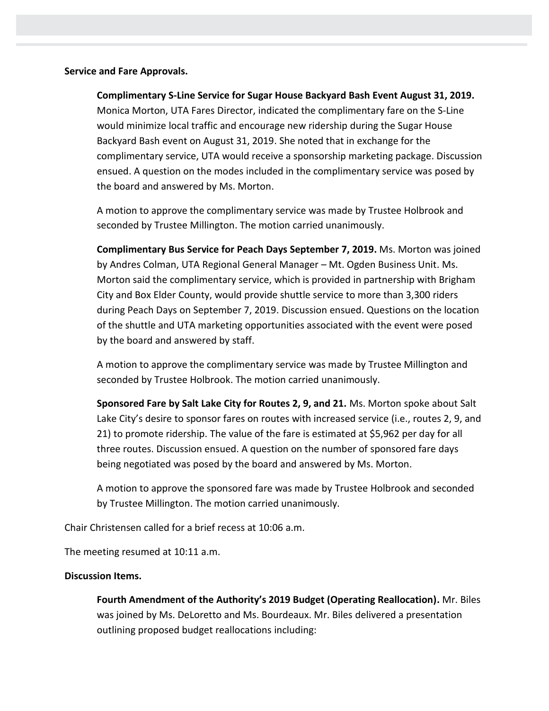## **Service and Fare Approvals.**

**Complimentary S-Line Service for Sugar House Backyard Bash Event August 31, 2019.**  Monica Morton, UTA Fares Director, indicated the complimentary fare on the S-Line would minimize local traffic and encourage new ridership during the Sugar House Backyard Bash event on August 31, 2019. She noted that in exchange for the complimentary service, UTA would receive a sponsorship marketing package. Discussion ensued. A question on the modes included in the complimentary service was posed by the board and answered by Ms. Morton.

A motion to approve the complimentary service was made by Trustee Holbrook and seconded by Trustee Millington. The motion carried unanimously.

**Complimentary Bus Service for Peach Days September 7, 2019.** Ms. Morton was joined by Andres Colman, UTA Regional General Manager – Mt. Ogden Business Unit. Ms. Morton said the complimentary service, which is provided in partnership with Brigham City and Box Elder County, would provide shuttle service to more than 3,300 riders during Peach Days on September 7, 2019. Discussion ensued. Questions on the location of the shuttle and UTA marketing opportunities associated with the event were posed by the board and answered by staff.

A motion to approve the complimentary service was made by Trustee Millington and seconded by Trustee Holbrook. The motion carried unanimously.

**Sponsored Fare by Salt Lake City for Routes 2, 9, and 21.** Ms. Morton spoke about Salt Lake City's desire to sponsor fares on routes with increased service (i.e., routes 2, 9, and 21) to promote ridership. The value of the fare is estimated at \$5,962 per day for all three routes. Discussion ensued. A question on the number of sponsored fare days being negotiated was posed by the board and answered by Ms. Morton.

A motion to approve the sponsored fare was made by Trustee Holbrook and seconded by Trustee Millington. The motion carried unanimously.

Chair Christensen called for a brief recess at 10:06 a.m.

The meeting resumed at 10:11 a.m.

### **Discussion Items.**

**Fourth Amendment of the Authority's 2019 Budget (Operating Reallocation).** Mr. Biles was joined by Ms. DeLoretto and Ms. Bourdeaux. Mr. Biles delivered a presentation outlining proposed budget reallocations including: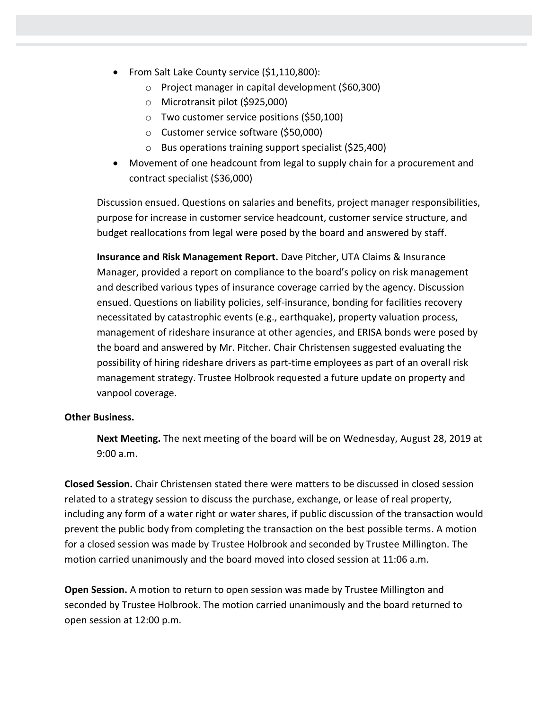- From Salt Lake County service (\$1,110,800):
	- o Project manager in capital development (\$60,300)
	- o Microtransit pilot (\$925,000)
	- o Two customer service positions (\$50,100)
	- o Customer service software (\$50,000)
	- o Bus operations training support specialist (\$25,400)
- Movement of one headcount from legal to supply chain for a procurement and contract specialist (\$36,000)

Discussion ensued. Questions on salaries and benefits, project manager responsibilities, purpose for increase in customer service headcount, customer service structure, and budget reallocations from legal were posed by the board and answered by staff.

**Insurance and Risk Management Report.** Dave Pitcher, UTA Claims & Insurance Manager, provided a report on compliance to the board's policy on risk management and described various types of insurance coverage carried by the agency. Discussion ensued. Questions on liability policies, self-insurance, bonding for facilities recovery necessitated by catastrophic events (e.g., earthquake), property valuation process, management of rideshare insurance at other agencies, and ERISA bonds were posed by the board and answered by Mr. Pitcher. Chair Christensen suggested evaluating the possibility of hiring rideshare drivers as part-time employees as part of an overall risk management strategy. Trustee Holbrook requested a future update on property and vanpool coverage.

# **Other Business.**

**Next Meeting.** The next meeting of the board will be on Wednesday, August 28, 2019 at 9:00 a.m.

**Closed Session.** Chair Christensen stated there were matters to be discussed in closed session related to a strategy session to discuss the purchase, exchange, or lease of real property, including any form of a water right or water shares, if public discussion of the transaction would prevent the public body from completing the transaction on the best possible terms. A motion for a closed session was made by Trustee Holbrook and seconded by Trustee Millington. The motion carried unanimously and the board moved into closed session at 11:06 a.m.

**Open Session.** A motion to return to open session was made by Trustee Millington and seconded by Trustee Holbrook. The motion carried unanimously and the board returned to open session at 12:00 p.m.